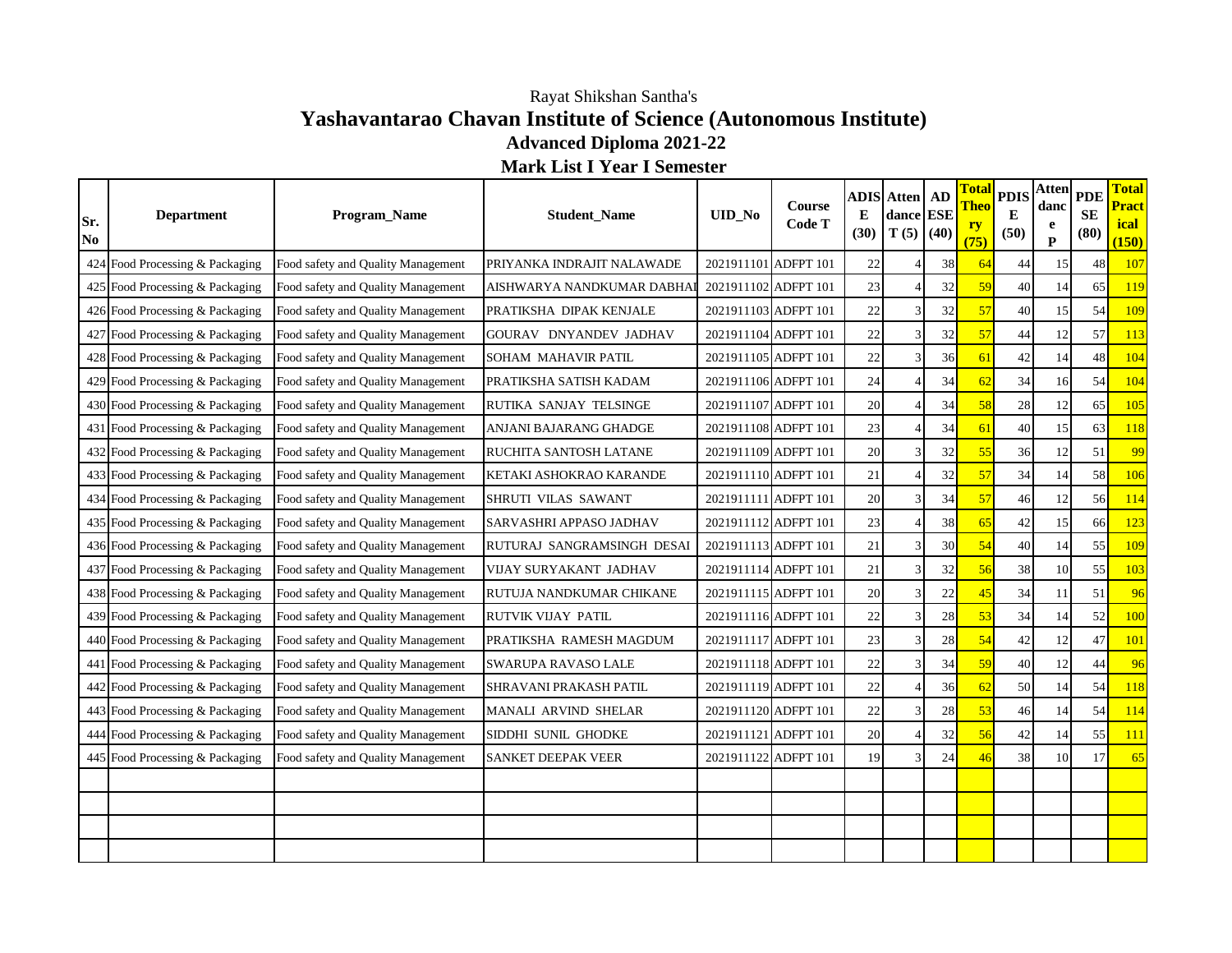## **Yashavantarao Chavan Institute of Science (Autonomous Institute) Advanced Diploma 2021-22** Rayat Shikshan Santha's

**Mark List I Year I Semester**

| Sr.<br>$\bf No$ | <b>Department</b>               | Program_Name                       | <b>Student_Name</b>        | UID_No               | Course<br>Code T | E<br>(30) | <b>ADIS Atten   AD</b><br>dance ESE<br>$T(5)$ (40) |    | <b>Total</b><br><b>Theo</b><br><u>ry</u><br>(75) | <b>PDIS</b><br>E<br>(50) | <b>Atten</b><br>danc<br>e<br>$\mathbf{P}$ | <b>PDE</b><br><b>SE</b><br>(80) | <b>Total</b><br><b>Pract</b><br>ical<br>(150) |
|-----------------|---------------------------------|------------------------------------|----------------------------|----------------------|------------------|-----------|----------------------------------------------------|----|--------------------------------------------------|--------------------------|-------------------------------------------|---------------------------------|-----------------------------------------------|
|                 | 424 Food Processing & Packaging | Food safety and Quality Management | PRIYANKA INDRAJIT NALAWADE | 2021911101 ADFPT 101 |                  | 22        |                                                    | 38 | 64                                               | 44                       | 15                                        | 48                              | 107                                           |
|                 | 425 Food Processing & Packaging | Food safety and Quality Management | AISHWARYA NANDKUMAR DABHAI | 2021911102 ADFPT 101 |                  | 23        |                                                    | 32 | 59                                               | 40                       | 14                                        | 65                              | 119                                           |
|                 | 426 Food Processing & Packaging | Food safety and Quality Management | PRATIKSHA DIPAK KENJALE    | 2021911103 ADFPT 101 |                  | 22        | 3                                                  | 32 | 57                                               | 40                       | 15                                        | 54                              | 109                                           |
|                 | 427 Food Processing & Packaging | Food safety and Quality Management | GOURAV DNYANDEV JADHAV     | 2021911104 ADFPT 101 |                  | 22        | 3                                                  | 32 | 57                                               | 44                       | 12                                        | 57                              | 113                                           |
|                 | 428 Food Processing & Packaging | Food safety and Quality Management | SOHAM MAHAVIR PATIL        | 2021911105 ADFPT 101 |                  | 22        | 3                                                  | 36 | 61                                               | 42                       | 14                                        | 48                              | 104                                           |
|                 | 429 Food Processing & Packaging | Food safety and Quality Management | PRATIKSHA SATISH KADAM     | 2021911106 ADFPT 101 |                  | 24        |                                                    | 34 | 62                                               | 34                       | 16                                        | 54                              | 104                                           |
|                 | 430 Food Processing & Packaging | Food safety and Quality Management | RUTIKA SANJAY TELSINGE     | 2021911107 ADFPT 101 |                  | 20        |                                                    | 34 | 58                                               | $28\,$                   | 12                                        | 65                              | 105                                           |
|                 | 431 Food Processing & Packaging | Food safety and Quality Management | ANJANI BAJARANG GHADGE     | 2021911108 ADFPT 101 |                  | 23        |                                                    | 34 | 61                                               | 40                       | 15                                        | 63                              | 118                                           |
|                 | 432 Food Processing & Packaging | Food safety and Quality Management | RUCHITA SANTOSH LATANE     | 2021911109 ADFPT 101 |                  | 20        | 3                                                  | 32 | 55                                               | 36                       | 12                                        | 51                              | 99                                            |
|                 | 433 Food Processing & Packaging | Food safety and Quality Management | KETAKI ASHOKRAO KARANDE    | 2021911110 ADFPT 101 |                  | 21        |                                                    | 32 | 57                                               | 34                       | 14                                        | 58                              | 106                                           |
|                 | 434 Food Processing & Packaging | Food safety and Quality Management | SHRUTI VILAS SAWANT        | 2021911111 ADFPT 101 |                  | 20        | 3                                                  | 34 | 57                                               | 46                       | 12                                        | 56                              | 114                                           |
|                 | 435 Food Processing & Packaging | Food safety and Quality Management | SARVASHRI APPASO JADHAV    | 2021911112 ADFPT 101 |                  | 23        |                                                    | 38 | 65                                               | 42                       | 15                                        | 66                              | 123                                           |
|                 | 436 Food Processing & Packaging | Food safety and Quality Management | RUTURAJ SANGRAMSINGH DESAI | 2021911113 ADFPT 101 |                  | 21        | 3                                                  | 30 | 54                                               | 40                       | 14                                        | 55                              | 109                                           |
|                 | 437 Food Processing & Packaging | Food safety and Quality Management | VIJAY SURYAKANT JADHAV     | 2021911114 ADFPT 101 |                  | 21        | 3                                                  | 32 | 56                                               | 38                       | 10 <sup>1</sup>                           | 55                              | 103                                           |
|                 | 438 Food Processing & Packaging | Food safety and Quality Management | RUTUJA NANDKUMAR CHIKANE   | 2021911115 ADFPT 101 |                  | 20        | 3                                                  | 22 | 45                                               | 34                       | 11                                        | 51                              | 96                                            |
|                 | 439 Food Processing & Packaging | Food safety and Quality Management | <b>RUTVIK VIJAY PATIL</b>  | 2021911116 ADFPT 101 |                  | 22        | 3                                                  | 28 | 53                                               | 34                       | 14                                        | 52                              | 100                                           |
|                 | 440 Food Processing & Packaging | Food safety and Quality Management | PRATIKSHA RAMESH MAGDUM    | 2021911117 ADFPT 101 |                  | 23        | 3                                                  | 28 | 54                                               | 42                       | 12                                        | 47                              | 101                                           |
|                 | 441 Food Processing & Packaging | Food safety and Quality Management | <b>SWARUPA RAVASO LALE</b> | 2021911118 ADFPT 101 |                  | 22        | 3                                                  | 34 | 59                                               | 40                       | 12                                        | 44                              | 96                                            |
|                 | 442 Food Processing & Packaging | Food safety and Quality Management | SHRAVANI PRAKASH PATIL     | 2021911119 ADFPT 101 |                  | 22        |                                                    | 36 | 62                                               | 50                       | 14                                        | 54                              | 118                                           |
|                 | 443 Food Processing & Packaging | Food safety and Quality Management | MANALI ARVIND SHELAR       | 2021911120 ADFPT 101 |                  | 22        | 3                                                  | 28 | 53                                               | 46                       | 14                                        | 54                              | 114                                           |
|                 | 444 Food Processing & Packaging | Food safety and Quality Management | SIDDHI SUNIL GHODKE        | 2021911121 ADFPT 101 |                  | 20        |                                                    | 32 | 56                                               | 42                       | 14                                        | 55                              | 111                                           |
|                 | 445 Food Processing & Packaging | Food safety and Quality Management | <b>SANKET DEEPAK VEER</b>  | 2021911122 ADFPT 101 |                  | 19        | $\mathcal{R}$                                      | 24 | 46                                               | 38                       | 10                                        | 17                              | 65                                            |
|                 |                                 |                                    |                            |                      |                  |           |                                                    |    |                                                  |                          |                                           |                                 |                                               |
|                 |                                 |                                    |                            |                      |                  |           |                                                    |    |                                                  |                          |                                           |                                 |                                               |
|                 |                                 |                                    |                            |                      |                  |           |                                                    |    |                                                  |                          |                                           |                                 |                                               |
|                 |                                 |                                    |                            |                      |                  |           |                                                    |    |                                                  |                          |                                           |                                 |                                               |